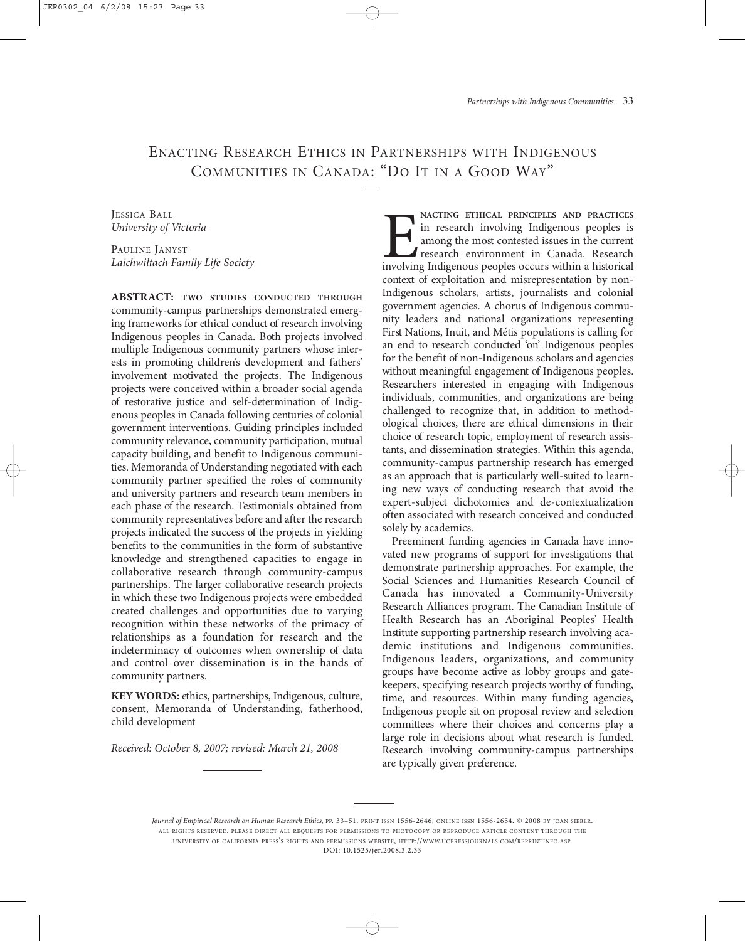# ENACTING RESEARCH ETHICS IN PARTNERSHIPS WITH INDIGENOUS COMMUNITIES IN CANADA: "DO IT IN A GOOD WAY"

JESSICA BALL *University of Victoria*

PAULINE JANYST *Laichwiltach Family Life Society*

**ABSTRACT: TWO STUDIES CONDUCTED THROUGH** community-campus partnerships demonstrated emerging frameworks for ethical conduct of research involving Indigenous peoples in Canada. Both projects involved multiple Indigenous community partners whose interests in promoting children's development and fathers' involvement motivated the projects. The Indigenous projects were conceived within a broader social agenda of restorative justice and self-determination of Indigenous peoples in Canada following centuries of colonial government interventions. Guiding principles included community relevance, community participation, mutual capacity building, and benefit to Indigenous communities. Memoranda of Understanding negotiated with each community partner specified the roles of community and university partners and research team members in each phase of the research. Testimonials obtained from community representatives before and after the research projects indicated the success of the projects in yielding benefits to the communities in the form of substantive knowledge and strengthened capacities to engage in collaborative research through community-campus partnerships. The larger collaborative research projects in which these two Indigenous projects were embedded created challenges and opportunities due to varying recognition within these networks of the primacy of relationships as a foundation for research and the indeterminacy of outcomes when ownership of data and control over dissemination is in the hands of community partners.

**KEY WORDS:** ethics, partnerships, Indigenous, culture, consent, Memoranda of Understanding, fatherhood, child development

*Received: October 8, 2007; revised: March 21, 2008*

MACTING ETHICAL PRINCIPLES AND PRACTICES<br>in research involving Indigenous peoples is<br>among the most contested issues in the current<br>research environment in Canada. Research<br>involving Indigenous peoples occurs within a hist **NACTING ETHICAL PRINCIPLES AND PRACTICES** in research involving Indigenous peoples is among the most contested issues in the current research environment in Canada. Research context of exploitation and misrepresentation by non-Indigenous scholars, artists, journalists and colonial government agencies. A chorus of Indigenous community leaders and national organizations representing First Nations, Inuit, and Métis populations is calling for an end to research conducted 'on' Indigenous peoples for the benefit of non-Indigenous scholars and agencies without meaningful engagement of Indigenous peoples. Researchers interested in engaging with Indigenous individuals, communities, and organizations are being challenged to recognize that, in addition to methodological choices, there are ethical dimensions in their choice of research topic, employment of research assistants, and dissemination strategies. Within this agenda, community-campus partnership research has emerged as an approach that is particularly well-suited to learning new ways of conducting research that avoid the expert-subject dichotomies and de-contextualization often associated with research conceived and conducted solely by academics.

Preeminent funding agencies in Canada have innovated new programs of support for investigations that demonstrate partnership approaches. For example, the Social Sciences and Humanities Research Council of Canada has innovated a Community-University Research Alliances program. The Canadian Institute of Health Research has an Aboriginal Peoples' Health Institute supporting partnership research involving academic institutions and Indigenous communities. Indigenous leaders, organizations, and community groups have become active as lobby groups and gatekeepers, specifying research projects worthy of funding, time, and resources. Within many funding agencies, Indigenous people sit on proposal review and selection committees where their choices and concerns play a large role in decisions about what research is funded. Research involving community-campus partnerships are typically given preference.

*Journal of Empirical Research on Human Research Ethics*, PP. 33-51. PRINT ISSN 1556-2646, ONLINE ISSN 1556-2654. © 2008 BY JOAN SIEBER. ALL RIGHTS RESERVED. PLEASE DIRECT ALL REQUESTS FOR PERMISSIONS TO PHOTOCOPY OR REPRODUCE ARTICLE CONTENT THROUGH THE UNIVERSITY OF CALIFORNIA PRESS'S RIGHTS AND PERMISSIONS WEBSITE, HTTP://WWW.UCPRESSJOURNALS.COM/REPRINTINFO.ASP. DOI: 10.1525/jer.2008.3.2.33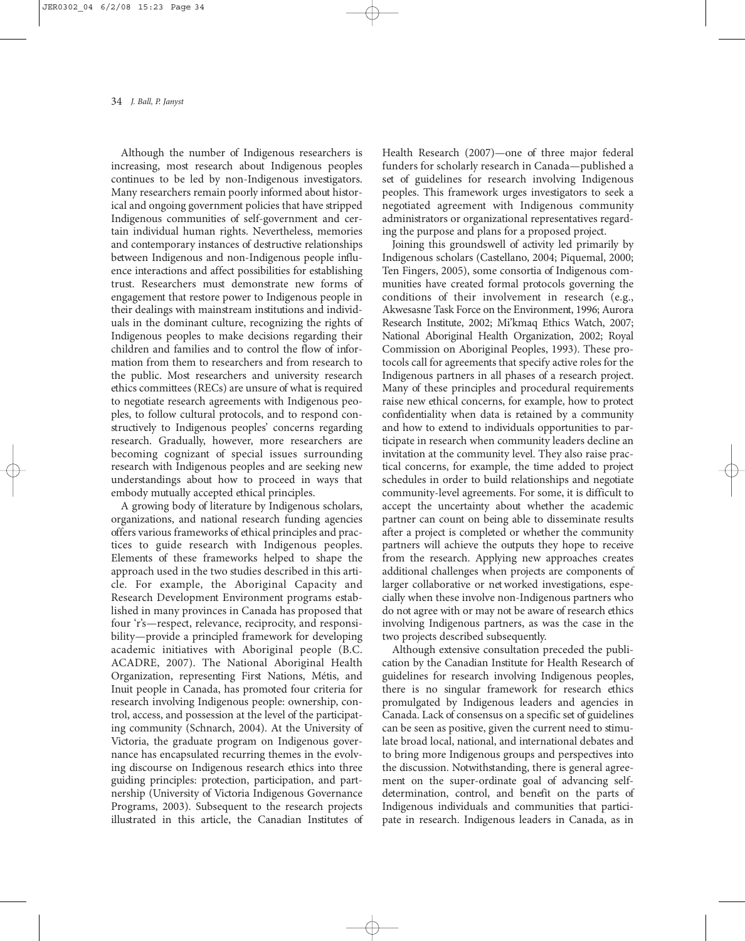Although the number of Indigenous researchers is increasing, most research about Indigenous peoples continues to be led by non-Indigenous investigators. Many researchers remain poorly informed about historical and ongoing government policies that have stripped Indigenous communities of self-government and certain individual human rights. Nevertheless, memories and contemporary instances of destructive relationships between Indigenous and non-Indigenous people influence interactions and affect possibilities for establishing trust. Researchers must demonstrate new forms of engagement that restore power to Indigenous people in their dealings with mainstream institutions and individuals in the dominant culture, recognizing the rights of Indigenous peoples to make decisions regarding their children and families and to control the flow of information from them to researchers and from research to the public. Most researchers and university research ethics committees (RECs) are unsure of what is required to negotiate research agreements with Indigenous peoples, to follow cultural protocols, and to respond constructively to Indigenous peoples' concerns regarding research. Gradually, however, more researchers are becoming cognizant of special issues surrounding research with Indigenous peoples and are seeking new understandings about how to proceed in ways that embody mutually accepted ethical principles.

A growing body of literature by Indigenous scholars, organizations, and national research funding agencies offers various frameworks of ethical principles and practices to guide research with Indigenous peoples. Elements of these frameworks helped to shape the approach used in the two studies described in this article. For example, the Aboriginal Capacity and Research Development Environment programs established in many provinces in Canada has proposed that four 'r's—respect, relevance, reciprocity, and responsibility—provide a principled framework for developing academic initiatives with Aboriginal people (B.C. ACADRE, 2007). The National Aboriginal Health Organization, representing First Nations, Métis, and Inuit people in Canada, has promoted four criteria for research involving Indigenous people: ownership, control, access, and possession at the level of the participating community (Schnarch, 2004). At the University of Victoria, the graduate program on Indigenous governance has encapsulated recurring themes in the evolving discourse on Indigenous research ethics into three guiding principles: protection, participation, and partnership (University of Victoria Indigenous Governance Programs, 2003). Subsequent to the research projects illustrated in this article, the Canadian Institutes of

Health Research (2007)—one of three major federal funders for scholarly research in Canada—published a set of guidelines for research involving Indigenous peoples. This framework urges investigators to seek a negotiated agreement with Indigenous community administrators or organizational representatives regarding the purpose and plans for a proposed project.

Joining this groundswell of activity led primarily by Indigenous scholars (Castellano, 2004; Piquemal, 2000; Ten Fingers, 2005), some consortia of Indigenous communities have created formal protocols governing the conditions of their involvement in research (e.g., Akwesasne Task Force on the Environment, 1996; Aurora Research Institute, 2002; Mi'kmaq Ethics Watch, 2007; National Aboriginal Health Organization, 2002; Royal Commission on Aboriginal Peoples, 1993). These protocols call for agreements that specify active roles for the Indigenous partners in all phases of a research project. Many of these principles and procedural requirements raise new ethical concerns, for example, how to protect confidentiality when data is retained by a community and how to extend to individuals opportunities to participate in research when community leaders decline an invitation at the community level. They also raise practical concerns, for example, the time added to project schedules in order to build relationships and negotiate community-level agreements. For some, it is difficult to accept the uncertainty about whether the academic partner can count on being able to disseminate results after a project is completed or whether the community partners will achieve the outputs they hope to receive from the research. Applying new approaches creates additional challenges when projects are components of larger collaborative or net worked investigations, especially when these involve non-Indigenous partners who do not agree with or may not be aware of research ethics involving Indigenous partners, as was the case in the two projects described subsequently.

Although extensive consultation preceded the publication by the Canadian Institute for Health Research of guidelines for research involving Indigenous peoples, there is no singular framework for research ethics promulgated by Indigenous leaders and agencies in Canada. Lack of consensus on a specific set of guidelines can be seen as positive, given the current need to stimulate broad local, national, and international debates and to bring more Indigenous groups and perspectives into the discussion. Notwithstanding, there is general agreement on the super-ordinate goal of advancing selfdetermination, control, and benefit on the parts of Indigenous individuals and communities that participate in research. Indigenous leaders in Canada, as in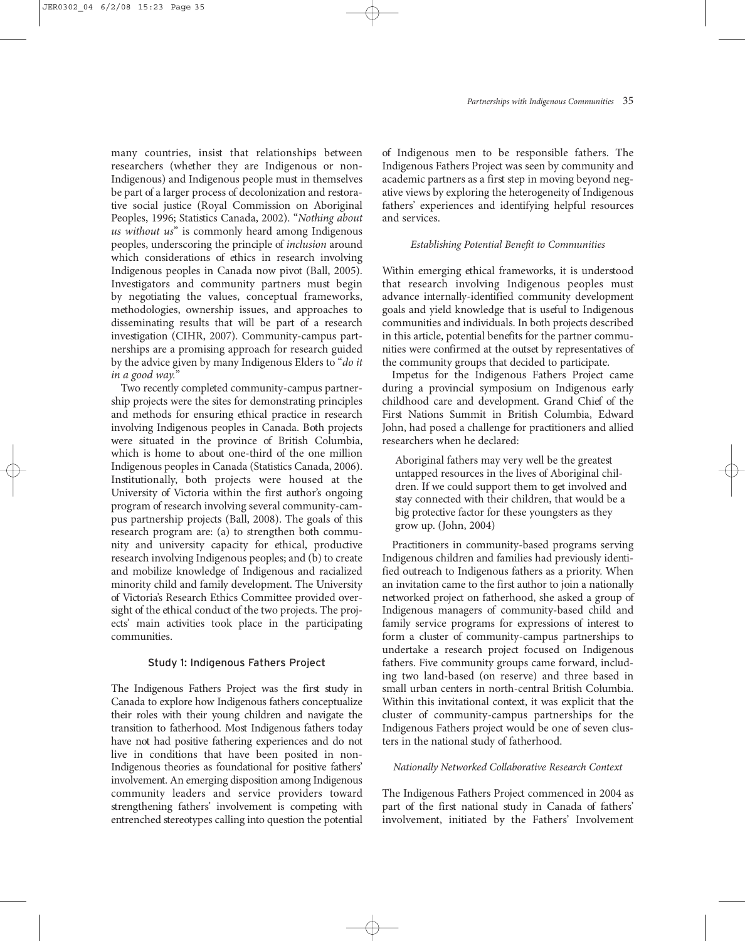many countries, insist that relationships between researchers (whether they are Indigenous or non-Indigenous) and Indigenous people must in themselves be part of a larger process of decolonization and restorative social justice (Royal Commission on Aboriginal Peoples, 1996; Statistics Canada, 2002). "*Nothing about us without us*" is commonly heard among Indigenous peoples, underscoring the principle of *inclusion* around which considerations of ethics in research involving Indigenous peoples in Canada now pivot (Ball, 2005). Investigators and community partners must begin by negotiating the values, conceptual frameworks, methodologies, ownership issues, and approaches to disseminating results that will be part of a research

investigation (CIHR, 2007). Community-campus partnerships are a promising approach for research guided by the advice given by many Indigenous Elders to "*do it in a good way.*" Two recently completed community-campus partner-

ship projects were the sites for demonstrating principles and methods for ensuring ethical practice in research involving Indigenous peoples in Canada. Both projects were situated in the province of British Columbia, which is home to about one-third of the one million Indigenous peoples in Canada (Statistics Canada, 2006). Institutionally, both projects were housed at the University of Victoria within the first author's ongoing program of research involving several community-campus partnership projects (Ball, 2008). The goals of this research program are: (a) to strengthen both community and university capacity for ethical, productive research involving Indigenous peoples; and (b) to create and mobilize knowledge of Indigenous and racialized minority child and family development. The University of Victoria's Research Ethics Committee provided oversight of the ethical conduct of the two projects. The projects' main activities took place in the participating communities.

# Study 1: Indigenous Fathers Project

The Indigenous Fathers Project was the first study in Canada to explore how Indigenous fathers conceptualize their roles with their young children and navigate the transition to fatherhood. Most Indigenous fathers today have not had positive fathering experiences and do not live in conditions that have been posited in non-Indigenous theories as foundational for positive fathers' involvement. An emerging disposition among Indigenous community leaders and service providers toward strengthening fathers' involvement is competing with entrenched stereotypes calling into question the potential

of Indigenous men to be responsible fathers. The Indigenous Fathers Project was seen by community and academic partners as a first step in moving beyond negative views by exploring the heterogeneity of Indigenous fathers' experiences and identifying helpful resources and services.

# *Establishing Potential Benefit to Communities*

Within emerging ethical frameworks, it is understood that research involving Indigenous peoples must advance internally-identified community development goals and yield knowledge that is useful to Indigenous communities and individuals. In both projects described in this article, potential benefits for the partner communities were confirmed at the outset by representatives of the community groups that decided to participate.

Impetus for the Indigenous Fathers Project came during a provincial symposium on Indigenous early childhood care and development. Grand Chief of the First Nations Summit in British Columbia, Edward John, had posed a challenge for practitioners and allied researchers when he declared:

Aboriginal fathers may very well be the greatest untapped resources in the lives of Aboriginal children. If we could support them to get involved and stay connected with their children, that would be a big protective factor for these youngsters as they grow up. (John, 2004)

Practitioners in community-based programs serving Indigenous children and families had previously identified outreach to Indigenous fathers as a priority. When an invitation came to the first author to join a nationally networked project on fatherhood, she asked a group of Indigenous managers of community-based child and family service programs for expressions of interest to form a cluster of community-campus partnerships to undertake a research project focused on Indigenous fathers. Five community groups came forward, including two land-based (on reserve) and three based in small urban centers in north-central British Columbia. Within this invitational context, it was explicit that the cluster of community-campus partnerships for the Indigenous Fathers project would be one of seven clusters in the national study of fatherhood.

#### *Nationally Networked Collaborative Research Context*

The Indigenous Fathers Project commenced in 2004 as part of the first national study in Canada of fathers' involvement, initiated by the Fathers' Involvement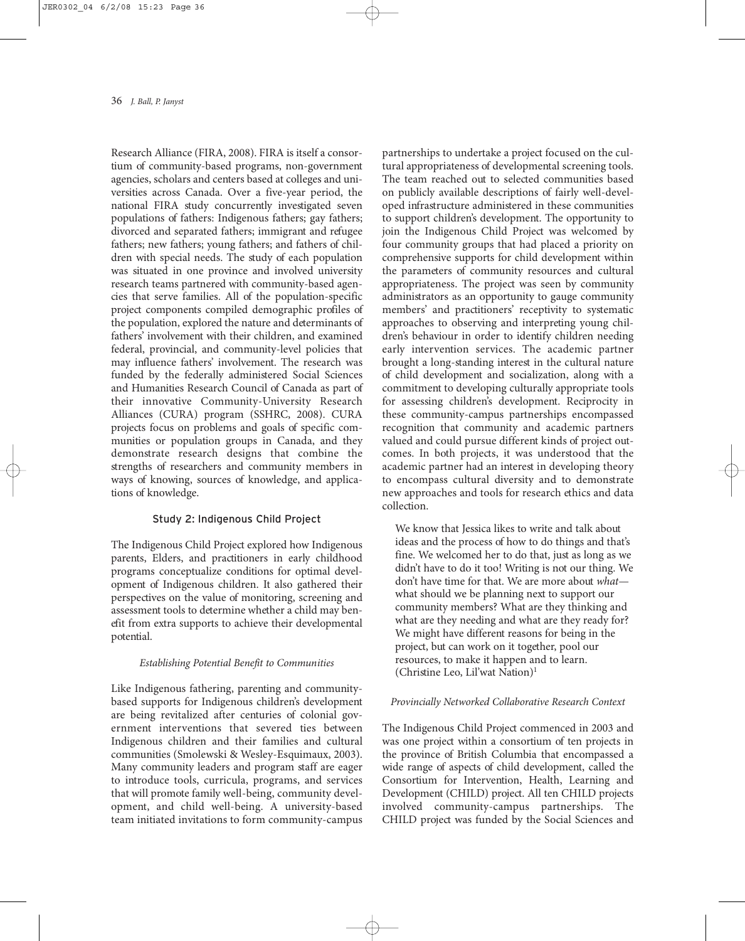Research Alliance (FIRA, 2008). FIRA is itself a consortium of community-based programs, non-government agencies, scholars and centers based at colleges and universities across Canada. Over a five-year period, the national FIRA study concurrently investigated seven populations of fathers: Indigenous fathers; gay fathers; divorced and separated fathers; immigrant and refugee fathers; new fathers; young fathers; and fathers of children with special needs. The study of each population was situated in one province and involved university research teams partnered with community-based agencies that serve families. All of the population-specific project components compiled demographic profiles of the population, explored the nature and determinants of fathers' involvement with their children, and examined federal, provincial, and community-level policies that may influence fathers' involvement. The research was funded by the federally administered Social Sciences and Humanities Research Council of Canada as part of their innovative Community-University Research Alliances (CURA) program (SSHRC, 2008). CURA projects focus on problems and goals of specific communities or population groups in Canada, and they demonstrate research designs that combine the strengths of researchers and community members in ways of knowing, sources of knowledge, and applications of knowledge.

# Study 2: Indigenous Child Project

The Indigenous Child Project explored how Indigenous parents, Elders, and practitioners in early childhood programs conceptualize conditions for optimal development of Indigenous children. It also gathered their perspectives on the value of monitoring, screening and assessment tools to determine whether a child may benefit from extra supports to achieve their developmental potential.

# *Establishing Potential Benefit to Communities*

Like Indigenous fathering, parenting and communitybased supports for Indigenous children's development are being revitalized after centuries of colonial government interventions that severed ties between Indigenous children and their families and cultural communities (Smolewski & Wesley-Esquimaux, 2003). Many community leaders and program staff are eager to introduce tools, curricula, programs, and services that will promote family well-being, community development, and child well-being. A university-based team initiated invitations to form community-campus

partnerships to undertake a project focused on the cultural appropriateness of developmental screening tools. The team reached out to selected communities based on publicly available descriptions of fairly well-developed infrastructure administered in these communities to support children's development. The opportunity to join the Indigenous Child Project was welcomed by four community groups that had placed a priority on comprehensive supports for child development within the parameters of community resources and cultural appropriateness. The project was seen by community administrators as an opportunity to gauge community members' and practitioners' receptivity to systematic approaches to observing and interpreting young children's behaviour in order to identify children needing early intervention services. The academic partner brought a long-standing interest in the cultural nature of child development and socialization, along with a commitment to developing culturally appropriate tools for assessing children's development. Reciprocity in these community-campus partnerships encompassed recognition that community and academic partners valued and could pursue different kinds of project outcomes. In both projects, it was understood that the academic partner had an interest in developing theory to encompass cultural diversity and to demonstrate new approaches and tools for research ethics and data collection.

We know that Jessica likes to write and talk about ideas and the process of how to do things and that's fine. We welcomed her to do that, just as long as we didn't have to do it too! Writing is not our thing. We don't have time for that. We are more about *what* what should we be planning next to support our community members? What are they thinking and what are they needing and what are they ready for? We might have different reasons for being in the project, but can work on it together, pool our resources, to make it happen and to learn.  $(Christine Leo, Lil'wat Nation)<sup>1</sup>$ 

# *Provincially Networked Collaborative Research Context*

The Indigenous Child Project commenced in 2003 and was one project within a consortium of ten projects in the province of British Columbia that encompassed a wide range of aspects of child development, called the Consortium for Intervention, Health, Learning and Development (CHILD) project. All ten CHILD projects involved community-campus partnerships. The CHILD project was funded by the Social Sciences and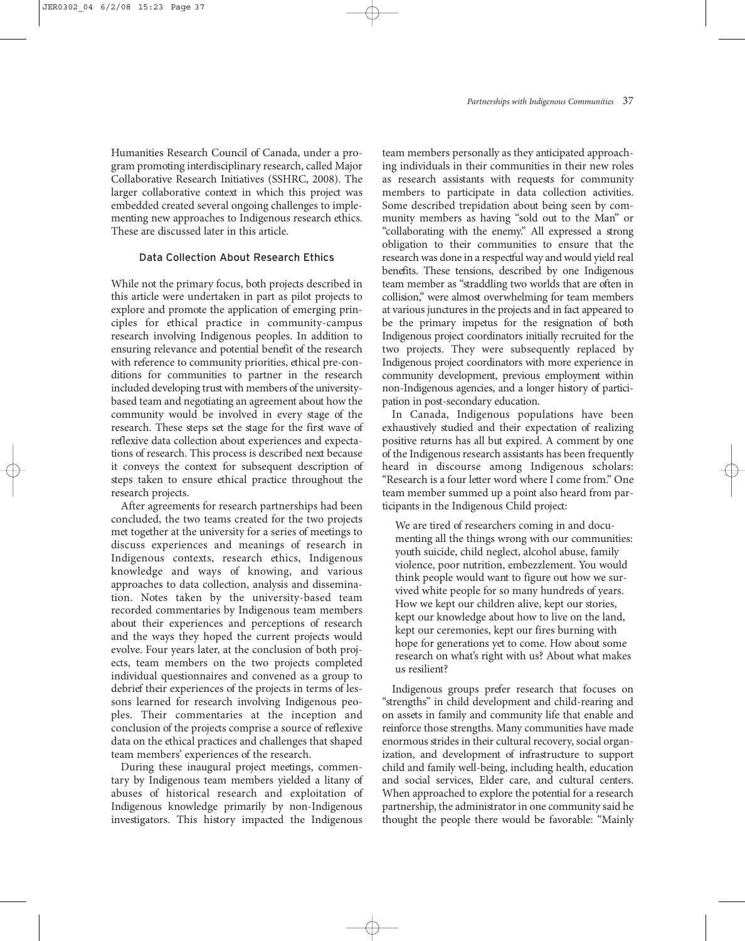Humanities Research Council of Canada, under a program promoting interdisciplinary research, called Major Collaborative Research Initiatives (SSHRC, 2008). The larger collaborative context in which this project was embedded created several ongoing challenges to implementing new approaches to Indigenous research ethics. These are discussed later in this article.

# Data Collection About Research Ethics

While not the primary focus, both projects described in this article were undertaken in part as pilot projects to explore and promote the application of emerging principles for ethical practice in community-campus research involving Indigenous peoples. In addition to ensuring relevance and potential benefit of the research with reference to community priorities, ethical pre-conditions for communities to partner in the research included developing trust with members of the universitybased team and negotiating an agreement about how the community would be involved in every stage of the research. These steps set the stage for the first wave of reflexive data collection about experiences and expectations of research. This process is described next because it conveys the context for subsequent description of steps taken to ensure ethical practice throughout the research projects.

After agreements for research partnerships had been concluded, the two teams created for the two projects met together at the university for a series of meetings to discuss experiences and meanings of research in Indigenous contexts, research ethics, Indigenous knowledge and ways of knowing, and various approaches to data collection, analysis and dissemination. Notes taken by the university-based team recorded commentaries by Indigenous team members about their experiences and perceptions of research and the ways they hoped the current projects would evolve. Four years later, at the conclusion of both projects, team members on the two projects completed individual questionnaires and convened as a group to debrief their experiences of the projects in terms of lessons learned for research involving Indigenous peoples. Their commentaries at the inception and conclusion of the projects comprise a source of reflexive data on the ethical practices and challenges that shaped team members' experiences of the research.

During these inaugural project meetings, commentary by Indigenous team members yielded a litany of abuses of historical research and exploitation of Indigenous knowledge primarily by non-Indigenous investigators. This history impacted the Indigenous

team members personally as they anticipated approaching individuals in their communities in their new roles as research assistants with requests for community members to participate in data collection activities. Some described trepidation about being seen by community members as having "sold out to the Man" or "collaborating with the enemy." All expressed a strong obligation to their communities to ensure that the research was done in a respectful way and would yield real benefits. These tensions, described by one Indigenous team member as "straddling two worlds that are often in collision," were almost overwhelming for team members at various junctures in the projects and in fact appeared to be the primary impetus for the resignation of both Indigenous project coordinators initially recruited for the two projects. They were subsequently replaced by Indigenous project coordinators with more experience in community development, previous employment within non-Indigenous agencies, and a longer history of participation in post-secondary education.

In Canada, Indigenous populations have been exhaustively studied and their expectation of realizing positive returns has all but expired. A comment by one of the Indigenous research assistants has been frequently heard in discourse among Indigenous scholars: "Research is a four letter word where I come from." One team member summed up a point also heard from participants in the Indigenous Child project:

We are tired of researchers coming in and documenting all the things wrong with our communities: youth suicide, child neglect, alcohol abuse, family violence, poor nutrition, embezzlement. You would think people would want to figure out how we survived white people for so many hundreds of years. How we kept our children alive, kept our stories, kept our knowledge about how to live on the land, kept our ceremonies, kept our fires burning with hope for generations yet to come. How about some research on what's right with us? About what makes us resilient?

Indigenous groups prefer research that focuses on "strengths" in child development and child-rearing and on assets in family and community life that enable and reinforce those strengths. Many communities have made enormous strides in their cultural recovery, social organization, and development of infrastructure to support child and family well-being, including health, education and social services, Elder care, and cultural centers. When approached to explore the potential for a research partnership, the administrator in one community said he thought the people there would be favorable: "Mainly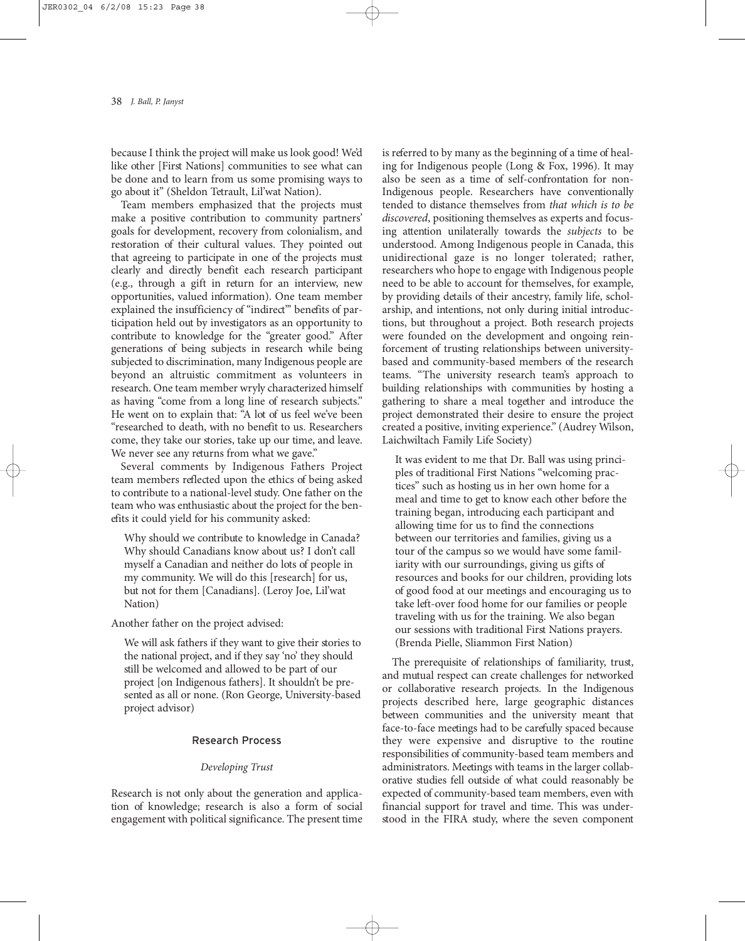because I think the project will make us look good! We'd like other [First Nations] communities to see what can be done and to learn from us some promising ways to go about it" (Sheldon Tetrault, Lil'wat Nation).

Team members emphasized that the projects must make a positive contribution to community partners' goals for development, recovery from colonialism, and restoration of their cultural values. They pointed out that agreeing to participate in one of the projects must clearly and directly benefit each research participant (e.g., through a gift in return for an interview, new opportunities, valued information). One team member explained the insufficiency of "indirect"' benefits of participation held out by investigators as an opportunity to contribute to knowledge for the "greater good." After generations of being subjects in research while being subjected to discrimination, many Indigenous people are beyond an altruistic commitment as volunteers in research. One team member wryly characterized himself as having "come from a long line of research subjects." He went on to explain that: "A lot of us feel we've been "researched to death, with no benefit to us. Researchers come, they take our stories, take up our time, and leave. We never see any returns from what we gave."

Several comments by Indigenous Fathers Project team members reflected upon the ethics of being asked to contribute to a national-level study. One father on the team who was enthusiastic about the project for the benefits it could yield for his community asked:

Why should we contribute to knowledge in Canada? Why should Canadians know about us? I don't call myself a Canadian and neither do lots of people in my community. We will do this [research] for us, but not for them [Canadians]. (Leroy Joe, Lil'wat Nation)

Another father on the project advised:

We will ask fathers if they want to give their stories to the national project, and if they say 'no' they should still be welcomed and allowed to be part of our project [on Indigenous fathers]. It shouldn't be presented as all or none. (Ron George, University-based project advisor)

#### Research Process

#### *Developing Trust*

Research is not only about the generation and application of knowledge; research is also a form of social engagement with political significance. The present time is referred to by many as the beginning of a time of healing for Indigenous people (Long & Fox, 1996). It may also be seen as a time of self-confrontation for non-Indigenous people. Researchers have conventionally tended to distance themselves from *that which is to be discovered*, positioning themselves as experts and focusing attention unilaterally towards the *subjects* to be understood. Among Indigenous people in Canada, this unidirectional gaze is no longer tolerated; rather, researchers who hope to engage with Indigenous people need to be able to account for themselves, for example, by providing details of their ancestry, family life, scholarship, and intentions, not only during initial introductions, but throughout a project. Both research projects were founded on the development and ongoing reinforcement of trusting relationships between universitybased and community-based members of the research teams. "The university research team's approach to building relationships with communities by hosting a gathering to share a meal together and introduce the project demonstrated their desire to ensure the project created a positive, inviting experience." (Audrey Wilson, Laichwiltach Family Life Society)

It was evident to me that Dr. Ball was using principles of traditional First Nations "welcoming practices" such as hosting us in her own home for a meal and time to get to know each other before the training began, introducing each participant and allowing time for us to find the connections between our territories and families, giving us a tour of the campus so we would have some familiarity with our surroundings, giving us gifts of resources and books for our children, providing lots of good food at our meetings and encouraging us to take left-over food home for our families or people traveling with us for the training. We also began our sessions with traditional First Nations prayers. (Brenda Pielle, Sliammon First Nation)

The prerequisite of relationships of familiarity, trust, and mutual respect can create challenges for networked or collaborative research projects. In the Indigenous projects described here, large geographic distances between communities and the university meant that face-to-face meetings had to be carefully spaced because they were expensive and disruptive to the routine responsibilities of community-based team members and administrators. Meetings with teams in the larger collaborative studies fell outside of what could reasonably be expected of community-based team members, even with financial support for travel and time. This was understood in the FIRA study, where the seven component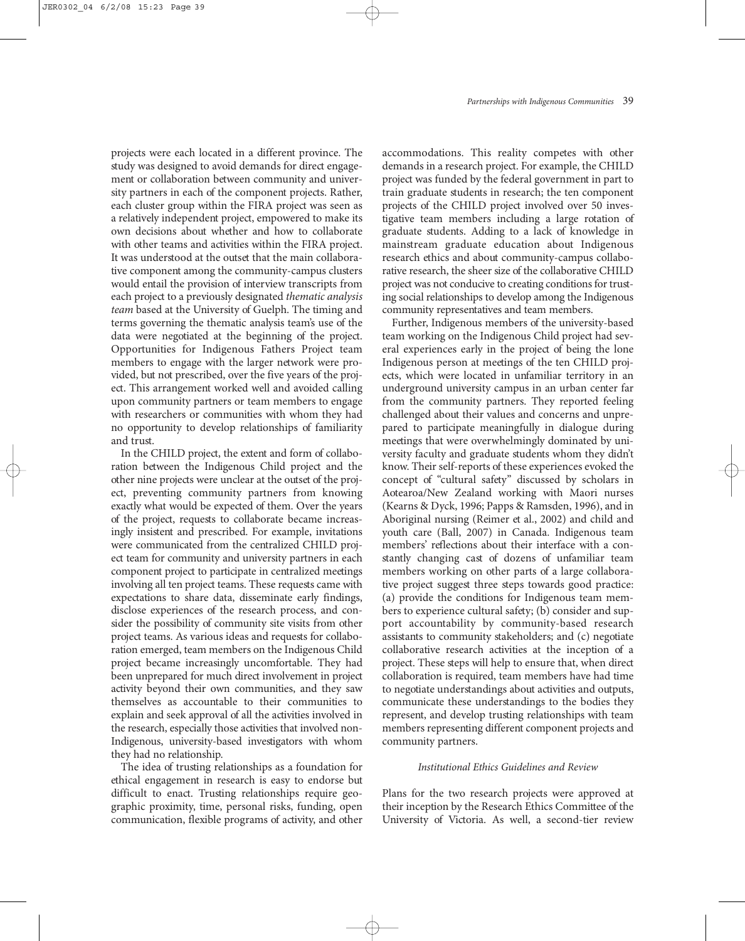projects were each located in a different province. The study was designed to avoid demands for direct engagement or collaboration between community and university partners in each of the component projects. Rather, each cluster group within the FIRA project was seen as a relatively independent project, empowered to make its own decisions about whether and how to collaborate with other teams and activities within the FIRA project. It was understood at the outset that the main collaborative component among the community-campus clusters would entail the provision of interview transcripts from each project to a previously designated *thematic analysis team* based at the University of Guelph. The timing and terms governing the thematic analysis team's use of the data were negotiated at the beginning of the project. Opportunities for Indigenous Fathers Project team members to engage with the larger network were provided, but not prescribed, over the five years of the project. This arrangement worked well and avoided calling upon community partners or team members to engage with researchers or communities with whom they had no opportunity to develop relationships of familiarity and trust.

In the CHILD project, the extent and form of collaboration between the Indigenous Child project and the other nine projects were unclear at the outset of the project, preventing community partners from knowing exactly what would be expected of them. Over the years of the project, requests to collaborate became increasingly insistent and prescribed. For example, invitations were communicated from the centralized CHILD project team for community and university partners in each component project to participate in centralized meetings involving all ten project teams. These requests came with expectations to share data, disseminate early findings, disclose experiences of the research process, and consider the possibility of community site visits from other project teams. As various ideas and requests for collaboration emerged, team members on the Indigenous Child project became increasingly uncomfortable. They had been unprepared for much direct involvement in project activity beyond their own communities, and they saw themselves as accountable to their communities to explain and seek approval of all the activities involved in the research, especially those activities that involved non-Indigenous, university-based investigators with whom they had no relationship.

The idea of trusting relationships as a foundation for ethical engagement in research is easy to endorse but difficult to enact. Trusting relationships require geographic proximity, time, personal risks, funding, open communication, flexible programs of activity, and other accommodations. This reality competes with other demands in a research project. For example, the CHILD project was funded by the federal government in part to train graduate students in research; the ten component projects of the CHILD project involved over 50 investigative team members including a large rotation of graduate students. Adding to a lack of knowledge in mainstream graduate education about Indigenous research ethics and about community-campus collaborative research, the sheer size of the collaborative CHILD project was not conducive to creating conditions for trusting social relationships to develop among the Indigenous community representatives and team members.

Further, Indigenous members of the university-based team working on the Indigenous Child project had several experiences early in the project of being the lone Indigenous person at meetings of the ten CHILD projects, which were located in unfamiliar territory in an underground university campus in an urban center far from the community partners. They reported feeling challenged about their values and concerns and unprepared to participate meaningfully in dialogue during meetings that were overwhelmingly dominated by university faculty and graduate students whom they didn't know. Their self-reports of these experiences evoked the concept of "cultural safety" discussed by scholars in Aotearoa/New Zealand working with Maori nurses (Kearns & Dyck, 1996; Papps & Ramsden, 1996), and in Aboriginal nursing (Reimer et al., 2002) and child and youth care (Ball, 2007) in Canada. Indigenous team members' reflections about their interface with a constantly changing cast of dozens of unfamiliar team members working on other parts of a large collaborative project suggest three steps towards good practice: (a) provide the conditions for Indigenous team members to experience cultural safety; (b) consider and support accountability by community-based research assistants to community stakeholders; and (c) negotiate collaborative research activities at the inception of a project. These steps will help to ensure that, when direct collaboration is required, team members have had time to negotiate understandings about activities and outputs, communicate these understandings to the bodies they represent, and develop trusting relationships with team members representing different component projects and community partners.

# *Institutional Ethics Guidelines and Review*

Plans for the two research projects were approved at their inception by the Research Ethics Committee of the University of Victoria. As well, a second-tier review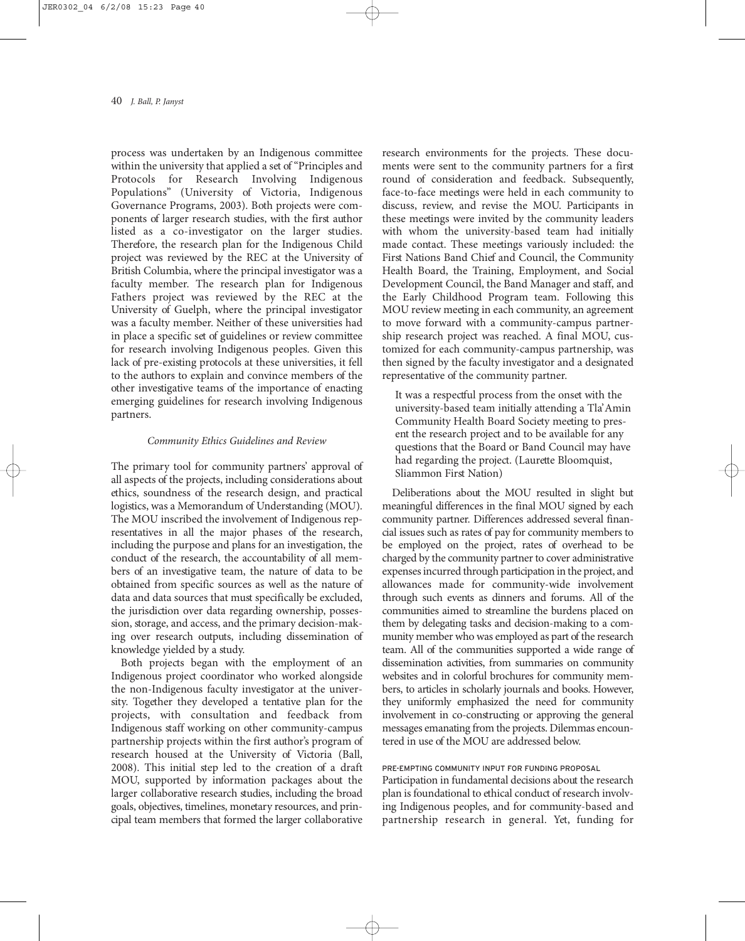process was undertaken by an Indigenous committee within the university that applied a set of "Principles and Protocols for Research Involving Indigenous Populations" (University of Victoria, Indigenous Governance Programs, 2003). Both projects were components of larger research studies, with the first author listed as a co-investigator on the larger studies. Therefore, the research plan for the Indigenous Child project was reviewed by the REC at the University of British Columbia, where the principal investigator was a faculty member. The research plan for Indigenous Fathers project was reviewed by the REC at the University of Guelph, where the principal investigator was a faculty member. Neither of these universities had in place a specific set of guidelines or review committee for research involving Indigenous peoples. Given this lack of pre-existing protocols at these universities, it fell to the authors to explain and convince members of the other investigative teams of the importance of enacting emerging guidelines for research involving Indigenous partners.

#### *Community Ethics Guidelines and Review*

The primary tool for community partners' approval of all aspects of the projects, including considerations about ethics, soundness of the research design, and practical logistics, was a Memorandum of Understanding (MOU). The MOU inscribed the involvement of Indigenous representatives in all the major phases of the research, including the purpose and plans for an investigation, the conduct of the research, the accountability of all members of an investigative team, the nature of data to be obtained from specific sources as well as the nature of data and data sources that must specifically be excluded, the jurisdiction over data regarding ownership, possession, storage, and access, and the primary decision-making over research outputs, including dissemination of knowledge yielded by a study.

Both projects began with the employment of an Indigenous project coordinator who worked alongside the non-Indigenous faculty investigator at the university. Together they developed a tentative plan for the projects, with consultation and feedback from Indigenous staff working on other community-campus partnership projects within the first author's program of research housed at the University of Victoria (Ball, 2008). This initial step led to the creation of a draft MOU, supported by information packages about the larger collaborative research studies, including the broad goals, objectives, timelines, monetary resources, and principal team members that formed the larger collaborative

research environments for the projects. These documents were sent to the community partners for a first round of consideration and feedback. Subsequently, face-to-face meetings were held in each community to discuss, review, and revise the MOU. Participants in these meetings were invited by the community leaders with whom the university-based team had initially made contact. These meetings variously included: the First Nations Band Chief and Council, the Community Health Board, the Training, Employment, and Social Development Council, the Band Manager and staff, and the Early Childhood Program team. Following this MOU review meeting in each community, an agreement to move forward with a community-campus partnership research project was reached. A final MOU, customized for each community-campus partnership, was then signed by the faculty investigator and a designated representative of the community partner.

It was a respectful process from the onset with the university-based team initially attending a Tla'Amin Community Health Board Society meeting to present the research project and to be available for any questions that the Board or Band Council may have had regarding the project. (Laurette Bloomquist, Sliammon First Nation)

Deliberations about the MOU resulted in slight but meaningful differences in the final MOU signed by each community partner. Differences addressed several financial issues such as rates of pay for community members to be employed on the project, rates of overhead to be charged by the community partner to cover administrative expenses incurred through participation in the project, and allowances made for community-wide involvement through such events as dinners and forums. All of the communities aimed to streamline the burdens placed on them by delegating tasks and decision-making to a community member who was employed as part of the research team. All of the communities supported a wide range of dissemination activities, from summaries on community websites and in colorful brochures for community members, to articles in scholarly journals and books. However, they uniformly emphasized the need for community involvement in co-constructing or approving the general messages emanating from the projects. Dilemmas encountered in use of the MOU are addressed below.

# PRE-EMPTING COMMUNITY INPUT FOR FUNDING PROPOSAL

Participation in fundamental decisions about the research plan is foundational to ethical conduct of research involving Indigenous peoples, and for community-based and partnership research in general. Yet, funding for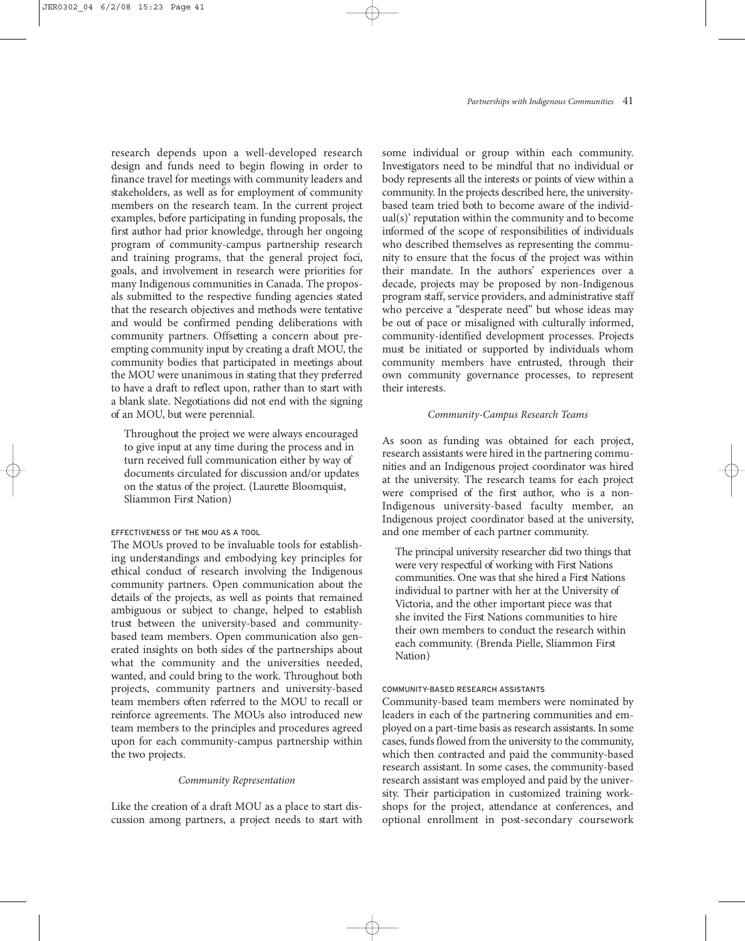research depends upon a well-developed research design and funds need to begin flowing in order to finance travel for meetings with community leaders and stakeholders, as well as for employment of community members on the research team. In the current project examples, before participating in funding proposals, the first author had prior knowledge, through her ongoing program of community-campus partnership research and training programs, that the general project foci, goals, and involvement in research were priorities for many Indigenous communities in Canada. The proposals submitted to the respective funding agencies stated that the research objectives and methods were tentative and would be confirmed pending deliberations with community partners. Offsetting a concern about preempting community input by creating a draft MOU, the community bodies that participated in meetings about the MOU were unanimous in stating that they preferred to have a draft to reflect upon, rather than to start with a blank slate. Negotiations did not end with the signing of an MOU, but were perennial.

Throughout the project we were always encouraged to give input at any time during the process and in turn received full communication either by way of documents circulated for discussion and/or updates on the status of the project. (Laurette Bloomquist, Sliammon First Nation)

#### EFFECTIVENESS OF THE MOU AS A TOOL

The MOUs proved to be invaluable tools for establishing understandings and embodying key principles for ethical conduct of research involving the Indigenous community partners. Open communication about the details of the projects, as well as points that remained ambiguous or subject to change, helped to establish trust between the university-based and communitybased team members. Open communication also generated insights on both sides of the partnerships about what the community and the universities needed, wanted, and could bring to the work. Throughout both projects, community partners and university-based team members often referred to the MOU to recall or reinforce agreements. The MOUs also introduced new team members to the principles and procedures agreed upon for each community-campus partnership within the two projects.

#### *Community Representation*

Like the creation of a draft MOU as a place to start discussion among partners, a project needs to start with some individual or group within each community. Investigators need to be mindful that no individual or body represents all the interests or points of view within a community. In the projects described here, the universitybased team tried both to become aware of the individual(s)' reputation within the community and to become informed of the scope of responsibilities of individuals who described themselves as representing the community to ensure that the focus of the project was within their mandate. In the authors' experiences over a decade, projects may be proposed by non-Indigenous program staff, service providers, and administrative staff who perceive a "desperate need" but whose ideas may be out of pace or misaligned with culturally informed, community-identified development processes. Projects must be initiated or supported by individuals whom community members have entrusted, through their own community governance processes, to represent their interests.

## *Community-Campus Research Teams*

As soon as funding was obtained for each project, research assistants were hired in the partnering communities and an Indigenous project coordinator was hired at the university. The research teams for each project were comprised of the first author, who is a non-Indigenous university-based faculty member, an Indigenous project coordinator based at the university, and one member of each partner community.

The principal university researcher did two things that were very respectful of working with First Nations communities. One was that she hired a First Nations individual to partner with her at the University of Victoria, and the other important piece was that she invited the First Nations communities to hire their own members to conduct the research within each community. (Brenda Pielle, Sliammon First Nation)

#### COMMUNITY-BASED RESEARCH ASSISTANTS

Community-based team members were nominated by leaders in each of the partnering communities and employed on a part-time basis as research assistants. In some cases, funds flowed from the university to the community, which then contracted and paid the community-based research assistant. In some cases, the community-based research assistant was employed and paid by the university. Their participation in customized training workshops for the project, attendance at conferences, and optional enrollment in post-secondary coursework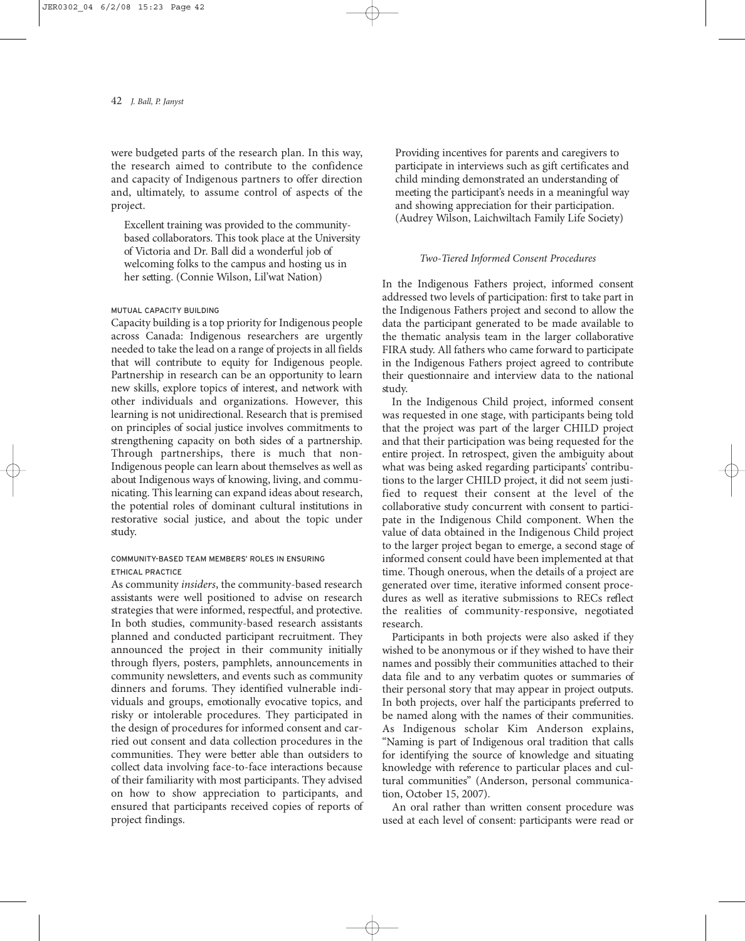were budgeted parts of the research plan. In this way, the research aimed to contribute to the confidence and capacity of Indigenous partners to offer direction and, ultimately, to assume control of aspects of the project.

Excellent training was provided to the communitybased collaborators. This took place at the University of Victoria and Dr. Ball did a wonderful job of welcoming folks to the campus and hosting us in her setting. (Connie Wilson, Lil'wat Nation)

# MUTUAL CAPACITY BUILDING

Capacity building is a top priority for Indigenous people across Canada: Indigenous researchers are urgently needed to take the lead on a range of projects in all fields that will contribute to equity for Indigenous people. Partnership in research can be an opportunity to learn new skills, explore topics of interest, and network with other individuals and organizations. However, this learning is not unidirectional. Research that is premised on principles of social justice involves commitments to strengthening capacity on both sides of a partnership. Through partnerships, there is much that non-Indigenous people can learn about themselves as well as about Indigenous ways of knowing, living, and communicating. This learning can expand ideas about research, the potential roles of dominant cultural institutions in restorative social justice, and about the topic under study.

# COMMUNITY-BASED TEAM MEMBERS' ROLES IN ENSURING ETHICAL PRACTICE

As community *insiders*, the community-based research assistants were well positioned to advise on research strategies that were informed, respectful, and protective. In both studies, community-based research assistants planned and conducted participant recruitment. They announced the project in their community initially through flyers, posters, pamphlets, announcements in community newsletters, and events such as community dinners and forums. They identified vulnerable individuals and groups, emotionally evocative topics, and risky or intolerable procedures. They participated in the design of procedures for informed consent and carried out consent and data collection procedures in the communities. They were better able than outsiders to collect data involving face-to-face interactions because of their familiarity with most participants. They advised on how to show appreciation to participants, and ensured that participants received copies of reports of project findings.

Providing incentives for parents and caregivers to participate in interviews such as gift certificates and child minding demonstrated an understanding of meeting the participant's needs in a meaningful way and showing appreciation for their participation. (Audrey Wilson, Laichwiltach Family Life Society)

# *Two-Tiered Informed Consent Procedures*

In the Indigenous Fathers project, informed consent addressed two levels of participation: first to take part in the Indigenous Fathers project and second to allow the data the participant generated to be made available to the thematic analysis team in the larger collaborative FIRA study. All fathers who came forward to participate in the Indigenous Fathers project agreed to contribute their questionnaire and interview data to the national study.

In the Indigenous Child project, informed consent was requested in one stage, with participants being told that the project was part of the larger CHILD project and that their participation was being requested for the entire project. In retrospect, given the ambiguity about what was being asked regarding participants' contributions to the larger CHILD project, it did not seem justified to request their consent at the level of the collaborative study concurrent with consent to participate in the Indigenous Child component. When the value of data obtained in the Indigenous Child project to the larger project began to emerge, a second stage of informed consent could have been implemented at that time. Though onerous, when the details of a project are generated over time, iterative informed consent procedures as well as iterative submissions to RECs reflect the realities of community-responsive, negotiated research.

Participants in both projects were also asked if they wished to be anonymous or if they wished to have their names and possibly their communities attached to their data file and to any verbatim quotes or summaries of their personal story that may appear in project outputs. In both projects, over half the participants preferred to be named along with the names of their communities. As Indigenous scholar Kim Anderson explains, "Naming is part of Indigenous oral tradition that calls for identifying the source of knowledge and situating knowledge with reference to particular places and cultural communities" (Anderson, personal communication, October 15, 2007).

An oral rather than written consent procedure was used at each level of consent: participants were read or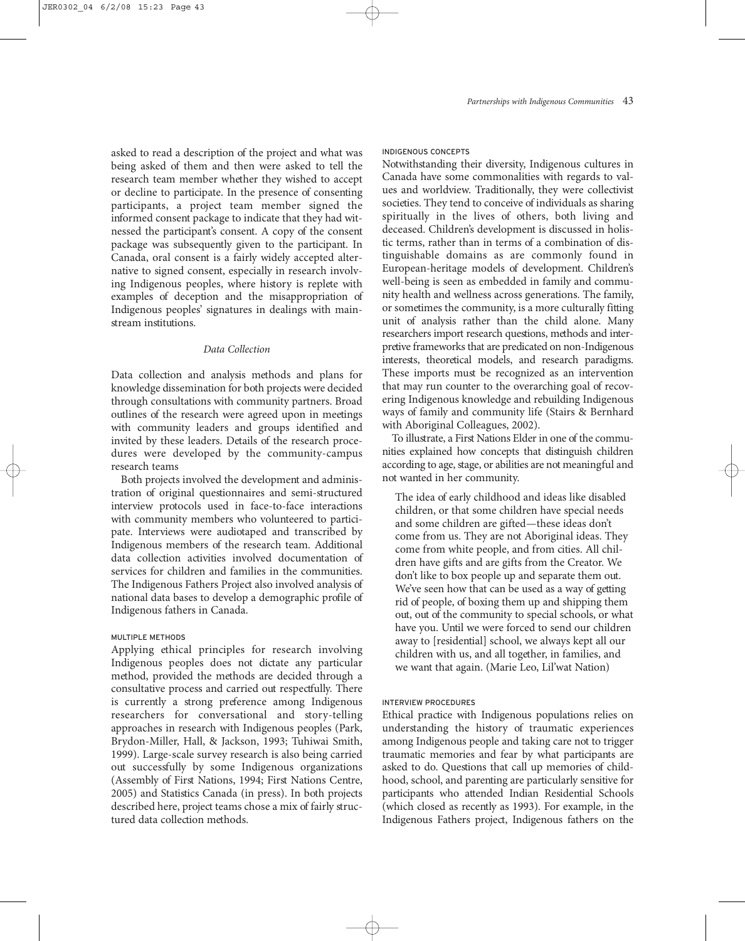asked to read a description of the project and what was being asked of them and then were asked to tell the research team member whether they wished to accept or decline to participate. In the presence of consenting participants, a project team member signed the informed consent package to indicate that they had witnessed the participant's consent. A copy of the consent package was subsequently given to the participant. In Canada, oral consent is a fairly widely accepted alternative to signed consent, especially in research involving Indigenous peoples, where history is replete with examples of deception and the misappropriation of Indigenous peoples' signatures in dealings with mainstream institutions.

#### *Data Collection*

Data collection and analysis methods and plans for knowledge dissemination for both projects were decided through consultations with community partners. Broad outlines of the research were agreed upon in meetings with community leaders and groups identified and invited by these leaders. Details of the research procedures were developed by the community-campus research teams

Both projects involved the development and administration of original questionnaires and semi-structured interview protocols used in face-to-face interactions with community members who volunteered to participate. Interviews were audiotaped and transcribed by Indigenous members of the research team. Additional data collection activities involved documentation of services for children and families in the communities. The Indigenous Fathers Project also involved analysis of national data bases to develop a demographic profile of Indigenous fathers in Canada.

#### MULTIPLE METHODS

Applying ethical principles for research involving Indigenous peoples does not dictate any particular method, provided the methods are decided through a consultative process and carried out respectfully. There is currently a strong preference among Indigenous researchers for conversational and story-telling approaches in research with Indigenous peoples (Park, Brydon-Miller, Hall, & Jackson, 1993; Tuhiwai Smith, 1999). Large-scale survey research is also being carried out successfully by some Indigenous organizations (Assembly of First Nations, 1994; First Nations Centre, 2005) and Statistics Canada (in press). In both projects described here, project teams chose a mix of fairly structured data collection methods.

INDIGENOUS CONCEPTS

Notwithstanding their diversity, Indigenous cultures in Canada have some commonalities with regards to values and worldview. Traditionally, they were collectivist societies. They tend to conceive of individuals as sharing spiritually in the lives of others, both living and deceased. Children's development is discussed in holistic terms, rather than in terms of a combination of distinguishable domains as are commonly found in European-heritage models of development. Children's well-being is seen as embedded in family and community health and wellness across generations. The family, or sometimes the community, is a more culturally fitting unit of analysis rather than the child alone. Many researchers import research questions, methods and interpretive frameworks that are predicated on non-Indigenous interests, theoretical models, and research paradigms. These imports must be recognized as an intervention that may run counter to the overarching goal of recovering Indigenous knowledge and rebuilding Indigenous ways of family and community life (Stairs & Bernhard with Aboriginal Colleagues, 2002).

To illustrate, a First Nations Elder in one of the communities explained how concepts that distinguish children according to age, stage, or abilities are not meaningful and not wanted in her community.

The idea of early childhood and ideas like disabled children, or that some children have special needs and some children are gifted—these ideas don't come from us. They are not Aboriginal ideas. They come from white people, and from cities. All children have gifts and are gifts from the Creator. We don't like to box people up and separate them out. We've seen how that can be used as a way of getting rid of people, of boxing them up and shipping them out, out of the community to special schools, or what have you. Until we were forced to send our children away to [residential] school, we always kept all our children with us, and all together, in families, and we want that again. (Marie Leo, Lil'wat Nation)

#### INTERVIEW PROCEDURES

Ethical practice with Indigenous populations relies on understanding the history of traumatic experiences among Indigenous people and taking care not to trigger traumatic memories and fear by what participants are asked to do. Questions that call up memories of childhood, school, and parenting are particularly sensitive for participants who attended Indian Residential Schools (which closed as recently as 1993). For example, in the Indigenous Fathers project, Indigenous fathers on the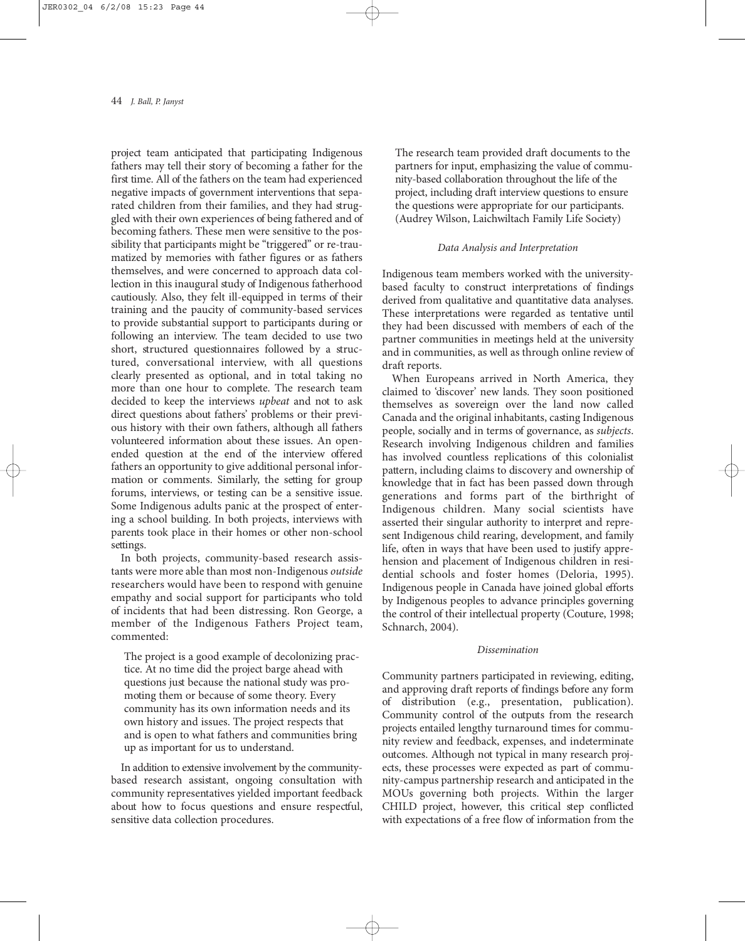project team anticipated that participating Indigenous fathers may tell their story of becoming a father for the first time. All of the fathers on the team had experienced negative impacts of government interventions that separated children from their families, and they had struggled with their own experiences of being fathered and of becoming fathers. These men were sensitive to the possibility that participants might be "triggered" or re-traumatized by memories with father figures or as fathers themselves, and were concerned to approach data collection in this inaugural study of Indigenous fatherhood cautiously. Also, they felt ill-equipped in terms of their training and the paucity of community-based services to provide substantial support to participants during or following an interview. The team decided to use two short, structured questionnaires followed by a structured, conversational interview, with all questions clearly presented as optional, and in total taking no more than one hour to complete. The research team decided to keep the interviews *upbeat* and not to ask direct questions about fathers' problems or their previous history with their own fathers, although all fathers volunteered information about these issues. An openended question at the end of the interview offered fathers an opportunity to give additional personal information or comments. Similarly, the setting for group forums, interviews, or testing can be a sensitive issue. Some Indigenous adults panic at the prospect of entering a school building. In both projects, interviews with parents took place in their homes or other non-school settings.

In both projects, community-based research assistants were more able than most non-Indigenous *outside* researchers would have been to respond with genuine empathy and social support for participants who told of incidents that had been distressing. Ron George, a member of the Indigenous Fathers Project team, commented:

The project is a good example of decolonizing practice. At no time did the project barge ahead with questions just because the national study was promoting them or because of some theory. Every community has its own information needs and its own history and issues. The project respects that and is open to what fathers and communities bring up as important for us to understand.

In addition to extensive involvement by the communitybased research assistant, ongoing consultation with community representatives yielded important feedback about how to focus questions and ensure respectful, sensitive data collection procedures.

The research team provided draft documents to the partners for input, emphasizing the value of community-based collaboration throughout the life of the project, including draft interview questions to ensure the questions were appropriate for our participants. (Audrey Wilson, Laichwiltach Family Life Society)

# *Data Analysis and Interpretation*

Indigenous team members worked with the universitybased faculty to construct interpretations of findings derived from qualitative and quantitative data analyses. These interpretations were regarded as tentative until they had been discussed with members of each of the partner communities in meetings held at the university and in communities, as well as through online review of draft reports.

When Europeans arrived in North America, they claimed to 'discover' new lands. They soon positioned themselves as sovereign over the land now called Canada and the original inhabitants, casting Indigenous people, socially and in terms of governance, as *subjects*. Research involving Indigenous children and families has involved countless replications of this colonialist pattern, including claims to discovery and ownership of knowledge that in fact has been passed down through generations and forms part of the birthright of Indigenous children. Many social scientists have asserted their singular authority to interpret and represent Indigenous child rearing, development, and family life, often in ways that have been used to justify apprehension and placement of Indigenous children in residential schools and foster homes (Deloria, 1995). Indigenous people in Canada have joined global efforts by Indigenous peoples to advance principles governing the control of their intellectual property (Couture, 1998; Schnarch, 2004).

# *Dissemination*

Community partners participated in reviewing, editing, and approving draft reports of findings before any form of distribution (e.g., presentation, publication). Community control of the outputs from the research projects entailed lengthy turnaround times for community review and feedback, expenses, and indeterminate outcomes. Although not typical in many research projects, these processes were expected as part of community-campus partnership research and anticipated in the MOUs governing both projects. Within the larger CHILD project, however, this critical step conflicted with expectations of a free flow of information from the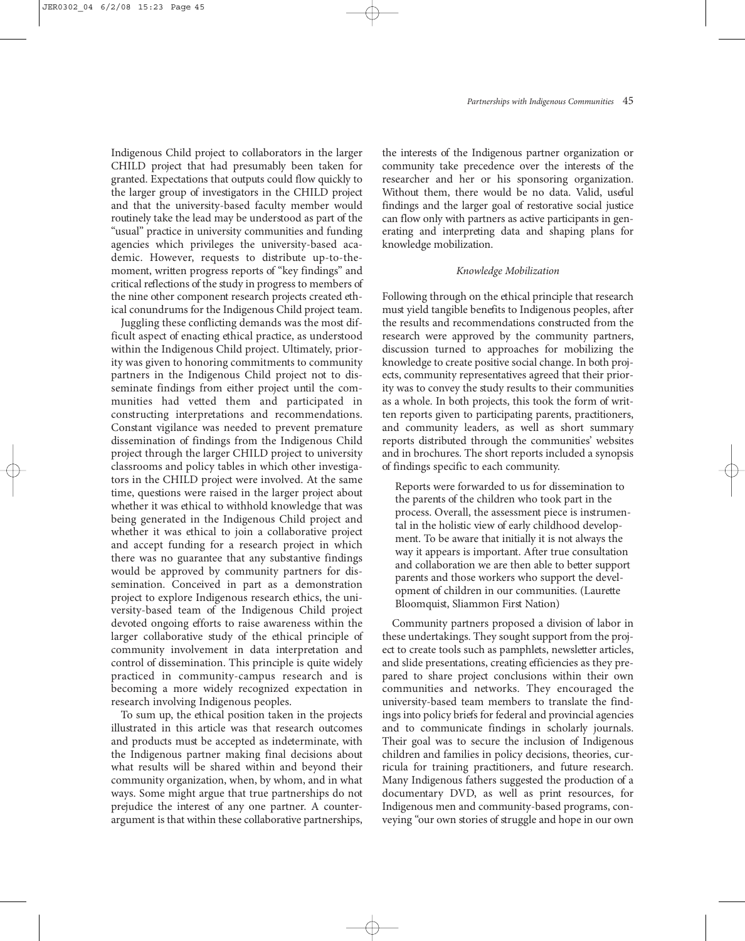Indigenous Child project to collaborators in the larger CHILD project that had presumably been taken for granted. Expectations that outputs could flow quickly to the larger group of investigators in the CHILD project and that the university-based faculty member would routinely take the lead may be understood as part of the "usual" practice in university communities and funding agencies which privileges the university-based academic. However, requests to distribute up-to-themoment, written progress reports of "key findings" and critical reflections of the study in progress to members of the nine other component research projects created ethical conundrums for the Indigenous Child project team.

Juggling these conflicting demands was the most difficult aspect of enacting ethical practice, as understood within the Indigenous Child project. Ultimately, priority was given to honoring commitments to community partners in the Indigenous Child project not to disseminate findings from either project until the communities had vetted them and participated in constructing interpretations and recommendations. Constant vigilance was needed to prevent premature dissemination of findings from the Indigenous Child project through the larger CHILD project to university classrooms and policy tables in which other investigators in the CHILD project were involved. At the same time, questions were raised in the larger project about whether it was ethical to withhold knowledge that was being generated in the Indigenous Child project and whether it was ethical to join a collaborative project and accept funding for a research project in which there was no guarantee that any substantive findings would be approved by community partners for dissemination. Conceived in part as a demonstration project to explore Indigenous research ethics, the university-based team of the Indigenous Child project devoted ongoing efforts to raise awareness within the larger collaborative study of the ethical principle of community involvement in data interpretation and control of dissemination. This principle is quite widely practiced in community-campus research and is becoming a more widely recognized expectation in research involving Indigenous peoples.

To sum up, the ethical position taken in the projects illustrated in this article was that research outcomes and products must be accepted as indeterminate, with the Indigenous partner making final decisions about what results will be shared within and beyond their community organization, when, by whom, and in what ways. Some might argue that true partnerships do not prejudice the interest of any one partner. A counterargument is that within these collaborative partnerships,

the interests of the Indigenous partner organization or community take precedence over the interests of the researcher and her or his sponsoring organization. Without them, there would be no data. Valid, useful findings and the larger goal of restorative social justice can flow only with partners as active participants in generating and interpreting data and shaping plans for knowledge mobilization.

# *Knowledge Mobilization*

Following through on the ethical principle that research must yield tangible benefits to Indigenous peoples, after the results and recommendations constructed from the research were approved by the community partners, discussion turned to approaches for mobilizing the knowledge to create positive social change. In both projects, community representatives agreed that their priority was to convey the study results to their communities as a whole. In both projects, this took the form of written reports given to participating parents, practitioners, and community leaders, as well as short summary reports distributed through the communities' websites and in brochures. The short reports included a synopsis of findings specific to each community.

Reports were forwarded to us for dissemination to the parents of the children who took part in the process. Overall, the assessment piece is instrumental in the holistic view of early childhood development. To be aware that initially it is not always the way it appears is important. After true consultation and collaboration we are then able to better support parents and those workers who support the development of children in our communities. (Laurette Bloomquist, Sliammon First Nation)

Community partners proposed a division of labor in these undertakings. They sought support from the project to create tools such as pamphlets, newsletter articles, and slide presentations, creating efficiencies as they prepared to share project conclusions within their own communities and networks. They encouraged the university-based team members to translate the findings into policy briefs for federal and provincial agencies and to communicate findings in scholarly journals. Their goal was to secure the inclusion of Indigenous children and families in policy decisions, theories, curricula for training practitioners, and future research. Many Indigenous fathers suggested the production of a documentary DVD, as well as print resources, for Indigenous men and community-based programs, conveying "our own stories of struggle and hope in our own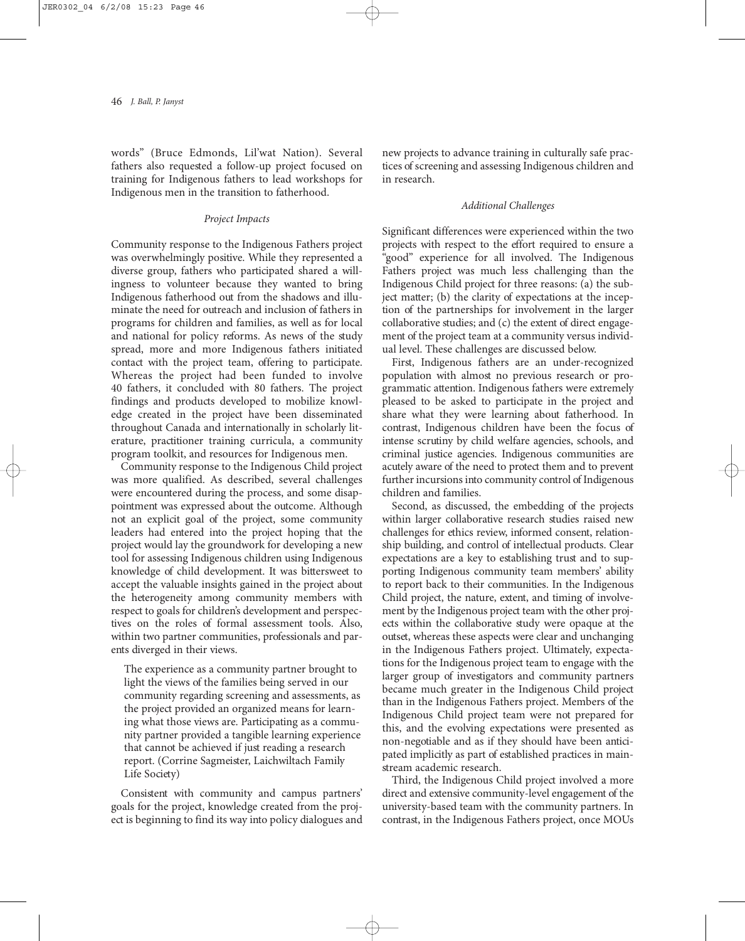words" (Bruce Edmonds, Lil'wat Nation). Several fathers also requested a follow-up project focused on training for Indigenous fathers to lead workshops for Indigenous men in the transition to fatherhood.

# *Project Impacts*

Community response to the Indigenous Fathers project was overwhelmingly positive. While they represented a diverse group, fathers who participated shared a willingness to volunteer because they wanted to bring Indigenous fatherhood out from the shadows and illuminate the need for outreach and inclusion of fathers in programs for children and families, as well as for local and national for policy reforms. As news of the study spread, more and more Indigenous fathers initiated contact with the project team, offering to participate. Whereas the project had been funded to involve 40 fathers, it concluded with 80 fathers. The project findings and products developed to mobilize knowledge created in the project have been disseminated throughout Canada and internationally in scholarly literature, practitioner training curricula, a community program toolkit, and resources for Indigenous men.

Community response to the Indigenous Child project was more qualified. As described, several challenges were encountered during the process, and some disappointment was expressed about the outcome. Although not an explicit goal of the project, some community leaders had entered into the project hoping that the project would lay the groundwork for developing a new tool for assessing Indigenous children using Indigenous knowledge of child development. It was bittersweet to accept the valuable insights gained in the project about the heterogeneity among community members with respect to goals for children's development and perspectives on the roles of formal assessment tools. Also, within two partner communities, professionals and parents diverged in their views.

The experience as a community partner brought to light the views of the families being served in our community regarding screening and assessments, as the project provided an organized means for learning what those views are. Participating as a community partner provided a tangible learning experience that cannot be achieved if just reading a research report. (Corrine Sagmeister, Laichwiltach Family Life Society)

Consistent with community and campus partners' goals for the project, knowledge created from the project is beginning to find its way into policy dialogues and new projects to advance training in culturally safe practices of screening and assessing Indigenous children and in research.

## *Additional Challenges*

Significant differences were experienced within the two projects with respect to the effort required to ensure a "good" experience for all involved. The Indigenous Fathers project was much less challenging than the Indigenous Child project for three reasons: (a) the subject matter; (b) the clarity of expectations at the inception of the partnerships for involvement in the larger collaborative studies; and (c) the extent of direct engagement of the project team at a community versus individual level. These challenges are discussed below.

First, Indigenous fathers are an under-recognized population with almost no previous research or programmatic attention. Indigenous fathers were extremely pleased to be asked to participate in the project and share what they were learning about fatherhood. In contrast, Indigenous children have been the focus of intense scrutiny by child welfare agencies, schools, and criminal justice agencies. Indigenous communities are acutely aware of the need to protect them and to prevent further incursions into community control of Indigenous children and families.

Second, as discussed, the embedding of the projects within larger collaborative research studies raised new challenges for ethics review, informed consent, relationship building, and control of intellectual products. Clear expectations are a key to establishing trust and to supporting Indigenous community team members' ability to report back to their communities. In the Indigenous Child project, the nature, extent, and timing of involvement by the Indigenous project team with the other projects within the collaborative study were opaque at the outset, whereas these aspects were clear and unchanging in the Indigenous Fathers project. Ultimately, expectations for the Indigenous project team to engage with the larger group of investigators and community partners became much greater in the Indigenous Child project than in the Indigenous Fathers project. Members of the Indigenous Child project team were not prepared for this, and the evolving expectations were presented as non-negotiable and as if they should have been anticipated implicitly as part of established practices in mainstream academic research.

Third, the Indigenous Child project involved a more direct and extensive community-level engagement of the university-based team with the community partners. In contrast, in the Indigenous Fathers project, once MOUs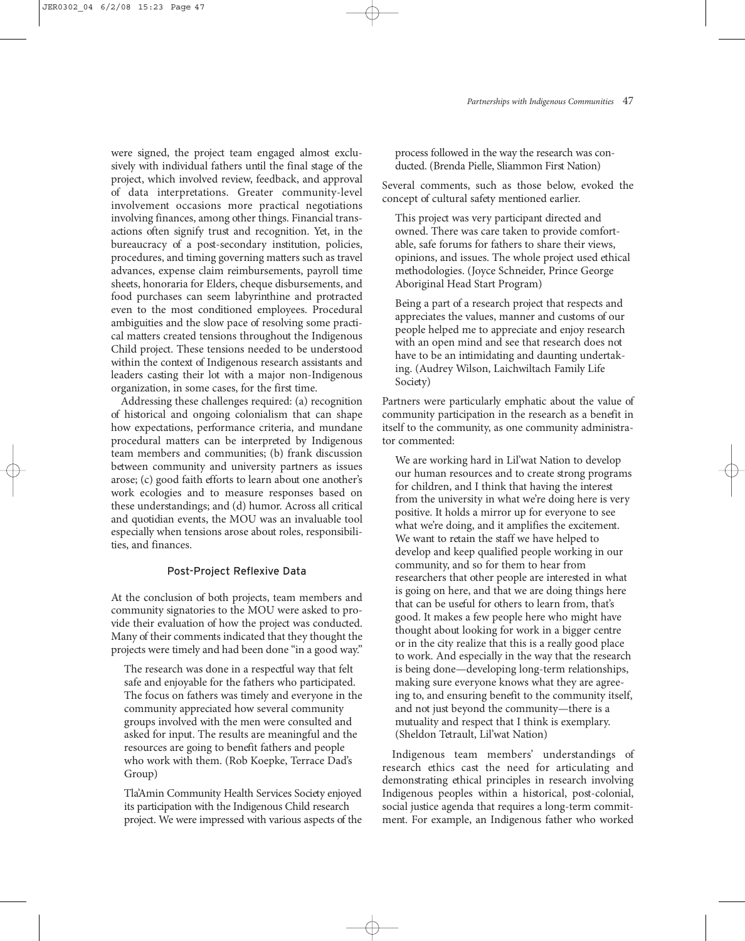were signed, the project team engaged almost exclusively with individual fathers until the final stage of the project, which involved review, feedback, and approval of data interpretations. Greater community-level involvement occasions more practical negotiations involving finances, among other things. Financial transactions often signify trust and recognition. Yet, in the bureaucracy of a post-secondary institution, policies, procedures, and timing governing matters such as travel advances, expense claim reimbursements, payroll time sheets, honoraria for Elders, cheque disbursements, and food purchases can seem labyrinthine and protracted even to the most conditioned employees. Procedural ambiguities and the slow pace of resolving some practical matters created tensions throughout the Indigenous Child project. These tensions needed to be understood within the context of Indigenous research assistants and leaders casting their lot with a major non-Indigenous organization, in some cases, for the first time.

Addressing these challenges required: (a) recognition of historical and ongoing colonialism that can shape how expectations, performance criteria, and mundane procedural matters can be interpreted by Indigenous team members and communities; (b) frank discussion between community and university partners as issues arose; (c) good faith efforts to learn about one another's work ecologies and to measure responses based on these understandings; and (d) humor. Across all critical and quotidian events, the MOU was an invaluable tool especially when tensions arose about roles, responsibilities, and finances.

# Post-Project Reflexive Data

At the conclusion of both projects, team members and community signatories to the MOU were asked to provide their evaluation of how the project was conducted. Many of their comments indicated that they thought the projects were timely and had been done "in a good way."

The research was done in a respectful way that felt safe and enjoyable for the fathers who participated. The focus on fathers was timely and everyone in the community appreciated how several community groups involved with the men were consulted and asked for input. The results are meaningful and the resources are going to benefit fathers and people who work with them. (Rob Koepke, Terrace Dad's Group)

Tla'Amin Community Health Services Society enjoyed its participation with the Indigenous Child research project. We were impressed with various aspects of the

process followed in the way the research was conducted. (Brenda Pielle, Sliammon First Nation)

Several comments, such as those below, evoked the concept of cultural safety mentioned earlier.

This project was very participant directed and owned. There was care taken to provide comfortable, safe forums for fathers to share their views, opinions, and issues. The whole project used ethical methodologies. (Joyce Schneider, Prince George Aboriginal Head Start Program)

Being a part of a research project that respects and appreciates the values, manner and customs of our people helped me to appreciate and enjoy research with an open mind and see that research does not have to be an intimidating and daunting undertaking. (Audrey Wilson, Laichwiltach Family Life Society)

Partners were particularly emphatic about the value of community participation in the research as a benefit in itself to the community, as one community administrator commented:

We are working hard in Lil'wat Nation to develop our human resources and to create strong programs for children, and I think that having the interest from the university in what we're doing here is very positive. It holds a mirror up for everyone to see what we're doing, and it amplifies the excitement. We want to retain the staff we have helped to develop and keep qualified people working in our community, and so for them to hear from researchers that other people are interested in what is going on here, and that we are doing things here that can be useful for others to learn from, that's good. It makes a few people here who might have thought about looking for work in a bigger centre or in the city realize that this is a really good place to work. And especially in the way that the research is being done—developing long-term relationships, making sure everyone knows what they are agreeing to, and ensuring benefit to the community itself, and not just beyond the community—there is a mutuality and respect that I think is exemplary. (Sheldon Tetrault, Lil'wat Nation)

Indigenous team members' understandings of research ethics cast the need for articulating and demonstrating ethical principles in research involving Indigenous peoples within a historical, post-colonial, social justice agenda that requires a long-term commitment. For example, an Indigenous father who worked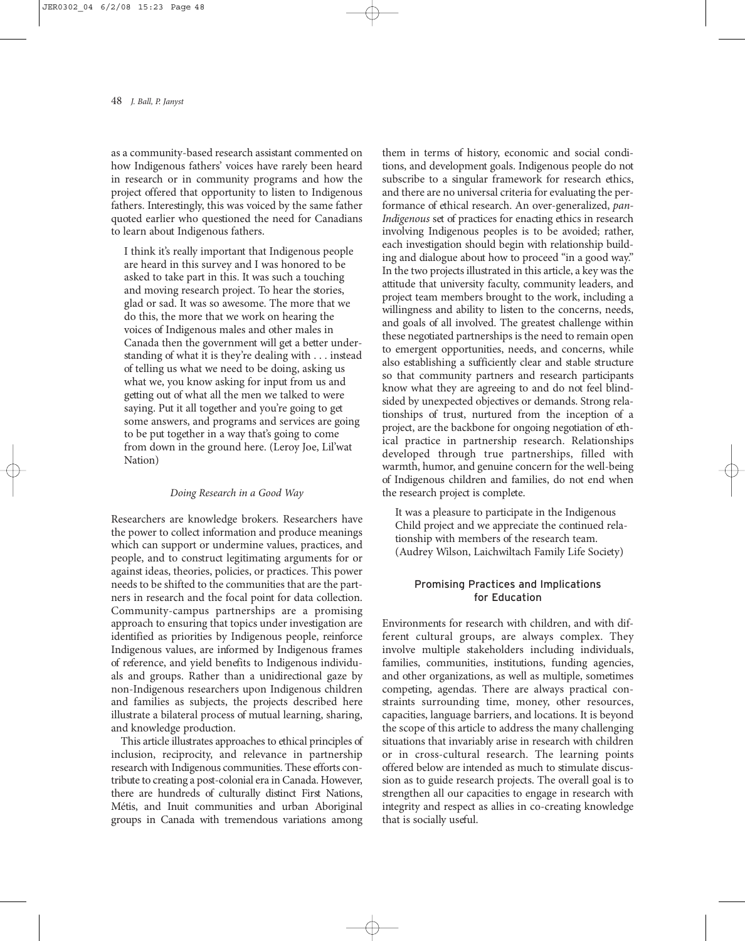as a community-based research assistant commented on how Indigenous fathers' voices have rarely been heard in research or in community programs and how the project offered that opportunity to listen to Indigenous fathers. Interestingly, this was voiced by the same father quoted earlier who questioned the need for Canadians to learn about Indigenous fathers.

I think it's really important that Indigenous people are heard in this survey and I was honored to be asked to take part in this. It was such a touching and moving research project. To hear the stories, glad or sad. It was so awesome. The more that we do this, the more that we work on hearing the voices of Indigenous males and other males in Canada then the government will get a better understanding of what it is they're dealing with . . . instead of telling us what we need to be doing, asking us what we, you know asking for input from us and getting out of what all the men we talked to were saying. Put it all together and you're going to get some answers, and programs and services are going to be put together in a way that's going to come from down in the ground here. (Leroy Joe, Lil'wat Nation)

# *Doing Research in a Good Way*

Researchers are knowledge brokers. Researchers have the power to collect information and produce meanings which can support or undermine values, practices, and people, and to construct legitimating arguments for or against ideas, theories, policies, or practices. This power needs to be shifted to the communities that are the partners in research and the focal point for data collection. Community-campus partnerships are a promising approach to ensuring that topics under investigation are identified as priorities by Indigenous people, reinforce Indigenous values, are informed by Indigenous frames of reference, and yield benefits to Indigenous individuals and groups. Rather than a unidirectional gaze by non-Indigenous researchers upon Indigenous children and families as subjects, the projects described here illustrate a bilateral process of mutual learning, sharing, and knowledge production.

This article illustrates approaches to ethical principles of inclusion, reciprocity, and relevance in partnership research with Indigenous communities. These efforts contribute to creating a post-colonial era in Canada. However, there are hundreds of culturally distinct First Nations, Métis, and Inuit communities and urban Aboriginal groups in Canada with tremendous variations among

them in terms of history, economic and social conditions, and development goals. Indigenous people do not subscribe to a singular framework for research ethics, and there are no universal criteria for evaluating the performance of ethical research. An over-generalized, *pan-Indigenous* set of practices for enacting ethics in research involving Indigenous peoples is to be avoided; rather, each investigation should begin with relationship building and dialogue about how to proceed "in a good way." In the two projects illustrated in this article, a key was the attitude that university faculty, community leaders, and project team members brought to the work, including a willingness and ability to listen to the concerns, needs, and goals of all involved. The greatest challenge within these negotiated partnerships is the need to remain open to emergent opportunities, needs, and concerns, while also establishing a sufficiently clear and stable structure so that community partners and research participants know what they are agreeing to and do not feel blindsided by unexpected objectives or demands. Strong relationships of trust, nurtured from the inception of a project, are the backbone for ongoing negotiation of ethical practice in partnership research. Relationships developed through true partnerships, filled with warmth, humor, and genuine concern for the well-being of Indigenous children and families, do not end when the research project is complete.

It was a pleasure to participate in the Indigenous Child project and we appreciate the continued relationship with members of the research team. (Audrey Wilson, Laichwiltach Family Life Society)

# Promising Practices and Implications for Education

Environments for research with children, and with different cultural groups, are always complex. They involve multiple stakeholders including individuals, families, communities, institutions, funding agencies, and other organizations, as well as multiple, sometimes competing, agendas. There are always practical constraints surrounding time, money, other resources, capacities, language barriers, and locations. It is beyond the scope of this article to address the many challenging situations that invariably arise in research with children or in cross-cultural research. The learning points offered below are intended as much to stimulate discussion as to guide research projects. The overall goal is to strengthen all our capacities to engage in research with integrity and respect as allies in co-creating knowledge that is socially useful.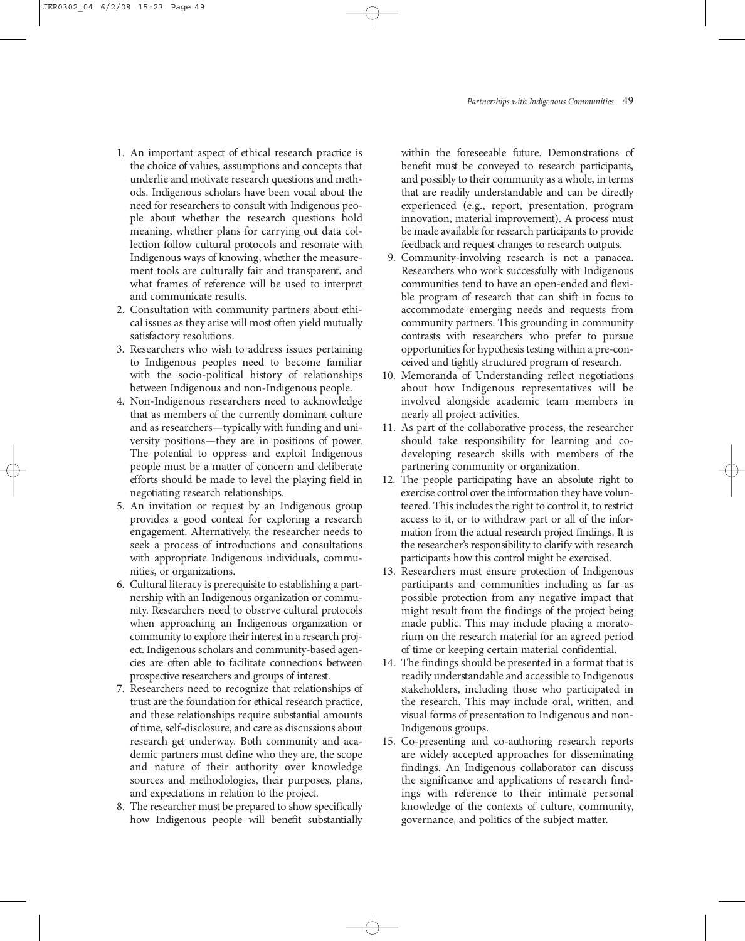- 1. An important aspect of ethical research practice is the choice of values, assumptions and concepts that underlie and motivate research questions and methods. Indigenous scholars have been vocal about the need for researchers to consult with Indigenous people about whether the research questions hold meaning, whether plans for carrying out data collection follow cultural protocols and resonate with Indigenous ways of knowing, whether the measurement tools are culturally fair and transparent, and what frames of reference will be used to interpret and communicate results.
- 2. Consultation with community partners about ethical issues as they arise will most often yield mutually satisfactory resolutions.
- 3. Researchers who wish to address issues pertaining to Indigenous peoples need to become familiar with the socio-political history of relationships between Indigenous and non-Indigenous people.
- 4. Non-Indigenous researchers need to acknowledge that as members of the currently dominant culture and as researchers—typically with funding and university positions—they are in positions of power. The potential to oppress and exploit Indigenous people must be a matter of concern and deliberate efforts should be made to level the playing field in negotiating research relationships.
- 5. An invitation or request by an Indigenous group provides a good context for exploring a research engagement. Alternatively, the researcher needs to seek a process of introductions and consultations with appropriate Indigenous individuals, communities, or organizations.
- 6. Cultural literacy is prerequisite to establishing a partnership with an Indigenous organization or community. Researchers need to observe cultural protocols when approaching an Indigenous organization or community to explore their interest in a research project. Indigenous scholars and community-based agencies are often able to facilitate connections between prospective researchers and groups of interest.
- 7. Researchers need to recognize that relationships of trust are the foundation for ethical research practice, and these relationships require substantial amounts of time, self-disclosure, and care as discussions about research get underway. Both community and academic partners must define who they are, the scope and nature of their authority over knowledge sources and methodologies, their purposes, plans, and expectations in relation to the project.
- 8. The researcher must be prepared to show specifically how Indigenous people will benefit substantially

within the foreseeable future. Demonstrations of benefit must be conveyed to research participants, and possibly to their community as a whole, in terms that are readily understandable and can be directly experienced (e.g., report, presentation, program innovation, material improvement). A process must be made available for research participants to provide feedback and request changes to research outputs.

- 9. Community-involving research is not a panacea. Researchers who work successfully with Indigenous communities tend to have an open-ended and flexible program of research that can shift in focus to accommodate emerging needs and requests from community partners. This grounding in community contrasts with researchers who prefer to pursue opportunities for hypothesis testing within a pre-conceived and tightly structured program of research.
- 10. Memoranda of Understanding reflect negotiations about how Indigenous representatives will be involved alongside academic team members in nearly all project activities.
- 11. As part of the collaborative process, the researcher should take responsibility for learning and codeveloping research skills with members of the partnering community or organization.
- 12. The people participating have an absolute right to exercise control over the information they have volunteered. This includes the right to control it, to restrict access to it, or to withdraw part or all of the information from the actual research project findings. It is the researcher's responsibility to clarify with research participants how this control might be exercised.
- 13. Researchers must ensure protection of Indigenous participants and communities including as far as possible protection from any negative impact that might result from the findings of the project being made public. This may include placing a moratorium on the research material for an agreed period of time or keeping certain material confidential.
- 14. The findings should be presented in a format that is readily understandable and accessible to Indigenous stakeholders, including those who participated in the research. This may include oral, written, and visual forms of presentation to Indigenous and non-Indigenous groups.
- 15. Co-presenting and co-authoring research reports are widely accepted approaches for disseminating findings. An Indigenous collaborator can discuss the significance and applications of research findings with reference to their intimate personal knowledge of the contexts of culture, community, governance, and politics of the subject matter.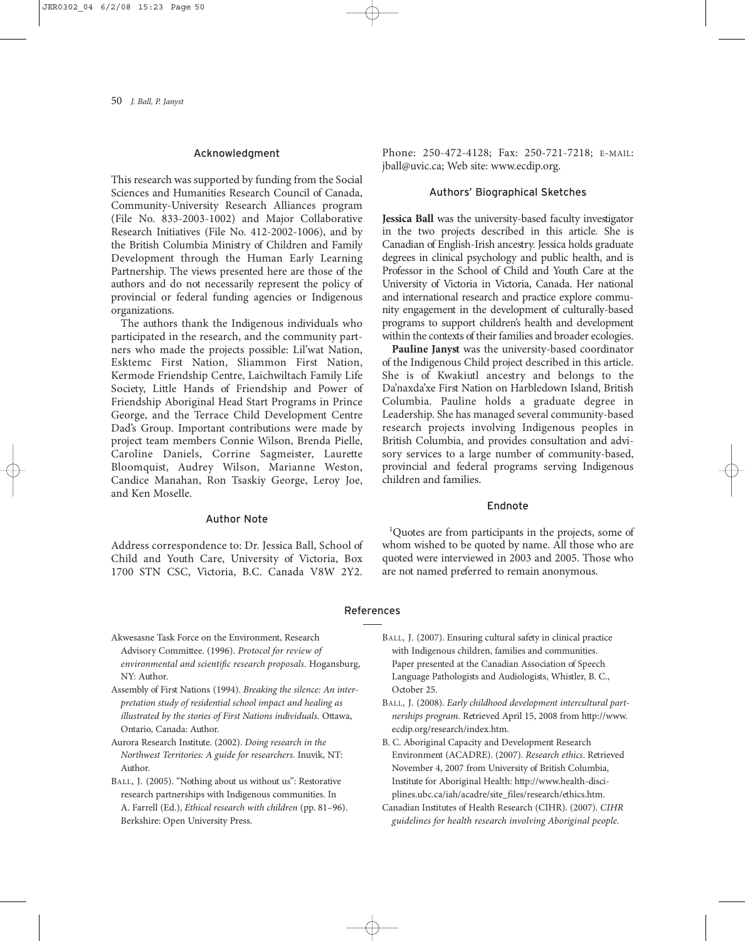#### Acknowledgment

This research was supported by funding from the Social Sciences and Humanities Research Council of Canada, Community-University Research Alliances program (File No. 833-2003-1002) and Major Collaborative Research Initiatives (File No. 412-2002-1006), and by the British Columbia Ministry of Children and Family Development through the Human Early Learning Partnership. The views presented here are those of the authors and do not necessarily represent the policy of provincial or federal funding agencies or Indigenous organizations.

The authors thank the Indigenous individuals who participated in the research, and the community partners who made the projects possible: Lil'wat Nation, Esktemc First Nation, Sliammon First Nation, Kermode Friendship Centre, Laichwiltach Family Life Society, Little Hands of Friendship and Power of Friendship Aboriginal Head Start Programs in Prince George, and the Terrace Child Development Centre Dad's Group. Important contributions were made by project team members Connie Wilson, Brenda Pielle, Caroline Daniels, Corrine Sagmeister, Laurette Bloomquist, Audrey Wilson, Marianne Weston, Candice Manahan, Ron Tsaskiy George, Leroy Joe, and Ken Moselle.

#### Author Note

Address correspondence to: Dr. Jessica Ball, School of Child and Youth Care, University of Victoria, Box 1700 STN CSC, Victoria, B.C. Canada V8W 2Y2.

Phone: 250-472-4128; Fax: 250-721-7218; E-MAIL: jball@uvic.ca; Web site: www.ecdip.org.

#### Authors' Biographical Sketches

**Jessica Ball** was the university-based faculty investigator in the two projects described in this article. She is Canadian of English-Irish ancestry. Jessica holds graduate degrees in clinical psychology and public health, and is Professor in the School of Child and Youth Care at the University of Victoria in Victoria, Canada. Her national and international research and practice explore community engagement in the development of culturally-based programs to support children's health and development within the contexts of their families and broader ecologies.

**Pauline Janyst** was the university-based coordinator of the Indigenous Child project described in this article. She is of Kwakiutl ancestry and belongs to the Da'naxda'xe First Nation on Harbledown Island, British Columbia. Pauline holds a graduate degree in Leadership. She has managed several community-based research projects involving Indigenous peoples in British Columbia, and provides consultation and advisory services to a large number of community-based, provincial and federal programs serving Indigenous children and families.

# Endnote

<sup>1</sup>Quotes are from participants in the projects, some of whom wished to be quoted by name. All those who are quoted were interviewed in 2003 and 2005. Those who are not named preferred to remain anonymous.

#### References

- Akwesasne Task Force on the Environment, Research Advisory Committee. (1996). *Protocol for review of environmental and scientific research proposals.* Hogansburg, NY: Author.
- Assembly of First Nations (1994). *Breaking the silence: An interpretation study of residential school impact and healing as illustrated by the stories of First Nations individuals.* Ottawa, Ontario, Canada: Author.
- Aurora Research Institute. (2002). *Doing research in the Northwest Territories: A guide for researchers.* Inuvik, NT: Author.
- BALL, J. (2005). "Nothing about us without us": Restorative research partnerships with Indigenous communities. In A. Farrell (Ed.), *Ethical research with children* (pp. 81–96). Berkshire: Open University Press.
- BALL, J. (2007). Ensuring cultural safety in clinical practice with Indigenous children, families and communities. Paper presented at the Canadian Association of Speech Language Pathologists and Audiologists, Whistler, B. C., October 25.
- BALL, J. (2008). *Early childhood development intercultural partnerships program.* Retrieved April 15, 2008 from http://www. ecdip.org/research/index.htm.
- B. C. Aboriginal Capacity and Development Research Environment (ACADRE). (2007). *Research ethics*. Retrieved November 4, 2007 from University of British Columbia, Institute for Aboriginal Health: http://www.health-disciplines.ubc.ca/iah/acadre/site\_files/research/ethics.htm.
- Canadian Institutes of Health Research (CIHR). (2007). *CIHR guidelines for health research involving Aboriginal people.*